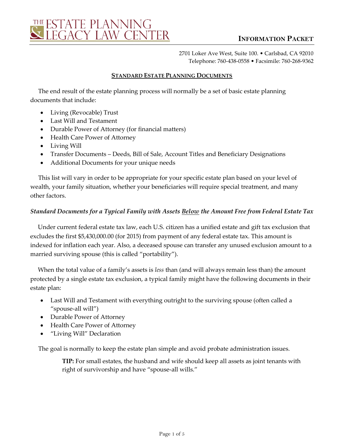

2701 Loker Ave West, Suite 100. • Carlsbad, CA 92010 Telephone: 760-438-0558 • Facsimile: 760-268-9362

#### **STANDARD ESTATE PLANNING DOCUMENTS**

The end result of the estate planning process will normally be a set of basic estate planning documents that include:

- Living (Revocable) Trust
- Last Will and Testament
- Durable Power of Attorney (for financial matters)
- Health Care Power of Attorney
- Living Will
- Transfer Documents Deeds, Bill of Sale, Account Titles and Beneficiary Designations
- Additional Documents for your unique needs

This list will vary in order to be appropriate for your specific estate plan based on your level of wealth, your family situation, whether your beneficiaries will require special treatment, and many other factors.

#### *Standard Documents for a Typical Family with Assets Below the Amount Free from Federal Estate Tax*

Under current federal estate tax law, each U.S. citizen has a unified estate and gift tax exclusion that excludes the first \$5,430,000.00 (for 2015) from payment of any federal estate tax. This amount is indexed for inflation each year. Also, a deceased spouse can transfer any unused exclusion amount to a married surviving spouse (this is called "portability").

When the total value of a family's assets is *less* than (and will always remain less than) the amount protected by a single estate tax exclusion, a typical family might have the following documents in their estate plan:

- Last Will and Testament with everything outright to the surviving spouse (often called a "spouse-all will")
- Durable Power of Attorney
- Health Care Power of Attorney
- "Living Will" Declaration

The goal is normally to keep the estate plan simple and avoid probate administration issues.

**TIP:** For small estates, the husband and wife should keep all assets as joint tenants with right of survivorship and have "spouse-all wills."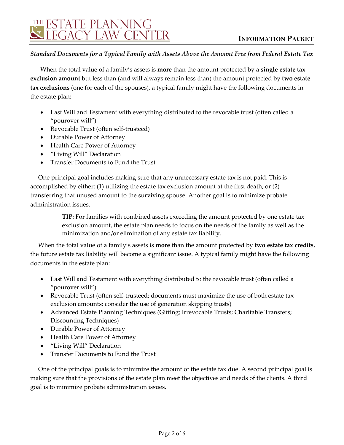## *Standard Documents for a Typical Family with Assets Above the Amount Free from Federal Estate Tax*

When the total value of a family's assets is **more** than the amount protected by **a single estate tax exclusion amount** but less than (and will always remain less than) the amount protected by **two estate tax exclusions** (one for each of the spouses), a typical family might have the following documents in the estate plan:

- Last Will and Testament with everything distributed to the revocable trust (often called a "pourover will")
- Revocable Trust (often self-trusteed)
- Durable Power of Attorney
- Health Care Power of Attorney
- "Living Will" Declaration
- Transfer Documents to Fund the Trust

One principal goal includes making sure that any unnecessary estate tax is not paid. This is accomplished by either: (1) utilizing the estate tax exclusion amount at the first death, or (2) transferring that unused amount to the surviving spouse. Another goal is to minimize probate administration issues.

> **TIP:** For families with combined assets exceeding the amount protected by one estate tax exclusion amount, the estate plan needs to focus on the needs of the family as well as the minimization and/or elimination of any estate tax liability.

When the total value of a family's assets is **more** than the amount protected by **two estate tax credits,**  the future estate tax liability will become a significant issue. A typical family might have the following documents in the estate plan:

- Last Will and Testament with everything distributed to the revocable trust (often called a "pourover will")
- Revocable Trust (often self-trusteed; documents must maximize the use of both estate tax exclusion amounts; consider the use of generation skipping trusts)
- Advanced Estate Planning Techniques (Gifting; Irrevocable Trusts; Charitable Transfers; Discounting Techniques)
- Durable Power of Attorney
- Health Care Power of Attorney
- "Living Will" Declaration
- Transfer Documents to Fund the Trust

One of the principal goals is to minimize the amount of the estate tax due. A second principal goal is making sure that the provisions of the estate plan meet the objectives and needs of the clients. A third goal is to minimize probate administration issues.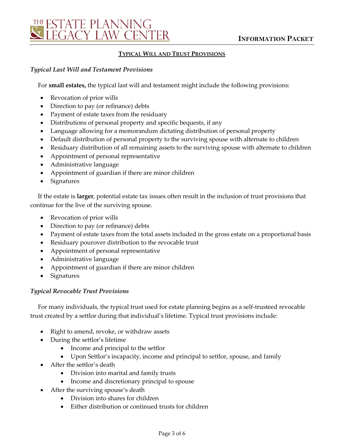

#### **TYPICAL WILL AND TRUST PROVISIONS**

#### *Typical Last Will and Testament Provisions*

For **small estates,** the typical last will and testament might include the following provisions:

- Revocation of prior wills
- Direction to pay (or refinance) debts
- Payment of estate taxes from the residuary
- Distributions of personal property and specific bequests, if any
- Language allowing for a memorandum dictating distribution of personal property
- Default distribution of personal property to the surviving spouse with alternate to children
- Residuary distribution of all remaining assets to the surviving spouse with alternate to children
- Appointment of personal representative
- Administrative language
- Appointment of guardian if there are minor children
- Signatures

If the estate is **larger**, potential estate tax issues often result in the inclusion of trust provisions that continue for the live of the surviving spouse.

- Revocation of prior wills
- Direction to pay (or refinance) debts
- Payment of estate taxes from the total assets included in the gross estate on a proportional basis
- Residuary pourover distribution to the revocable trust
- Appointment of personal representative
- Administrative language
- Appointment of guardian if there are minor children
- Signatures

#### *Typical Revocable Trust Provisions*

For many individuals, the typical trust used for estate planning begins as a self-trusteed revocable trust created by a settlor during that individual's lifetime. Typical trust provisions include:

- Right to amend, revoke, or withdraw assets
- During the settlor's lifetime
	- Income and principal to the settlor
	- Upon Settlor's incapacity, income and principal to settlor, spouse, and family
- After the settlor's death
	- Division into marital and family trusts
	- Income and discretionary principal to spouse
- After the surviving spouse's death
	- Division into shares for children
	- Either distribution or continued trusts for children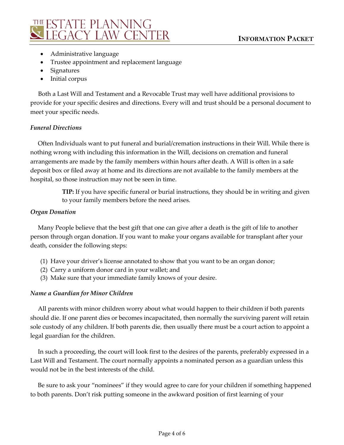

- Administrative language
- Trustee appointment and replacement language
- Signatures
- Initial corpus

Both a Last Will and Testament and a Revocable Trust may well have additional provisions to provide for your specific desires and directions. Every will and trust should be a personal document to meet your specific needs.

## *Funeral Directions*

Often Individuals want to put funeral and burial/cremation instructions in their Will. While there is nothing wrong with including this information in the Will, decisions on cremation and funeral arrangements are made by the family members within hours after death. A Will is often in a safe deposit box or filed away at home and its directions are not available to the family members at the hospital, so those instruction may not be seen in time.

> **TIP:** If you have specific funeral or burial instructions, they should be in writing and given to your family members before the need arises.

## *Organ Donation*

Many People believe that the best gift that one can give after a death is the gift of life to another person through organ donation. If you want to make your organs available for transplant after your death, consider the following steps:

- (1) Have your driver's license annotated to show that you want to be an organ donor;
- (2) Carry a uniform donor card in your wallet; and
- (3) Make sure that your immediate family knows of your desire.

## *Name a Guardian for Minor Children*

All parents with minor children worry about what would happen to their children if both parents should die. If one parent dies or becomes incapacitated, then normally the surviving parent will retain sole custody of any children. If both parents die, then usually there must be a court action to appoint a legal guardian for the children.

In such a proceeding, the court will look first to the desires of the parents, preferably expressed in a Last Will and Testament. The court normally appoints a nominated person as a guardian unless this would not be in the best interests of the child.

Be sure to ask your "nominees" if they would agree to care for your children if something happened to both parents. Don't risk putting someone in the awkward position of first learning of your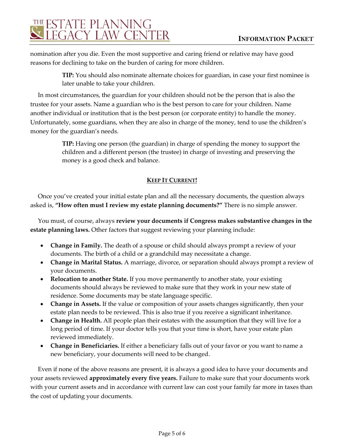# THE ESTATE PLANNING<br>SUEGACY LAW CENTER

nomination after you die. Even the most supportive and caring friend or relative may have good reasons for declining to take on the burden of caring for more children.

> **TIP:** You should also nominate alternate choices for guardian, in case your first nominee is later unable to take your children.

In most circumstances, the guardian for your children should not be the person that is also the trustee for your assets. Name a guardian who is the best person to care for your children. Name another individual or institution that is the best person (or corporate entity) to handle the money. Unfortunately, some guardians, when they are also in charge of the money, tend to use the children's money for the guardian's needs.

> **TIP:** Having one person (the guardian) in charge of spending the money to support the children and a different person (the trustee) in charge of investing and preserving the money is a good check and balance.

## **KEEP IT CURRENT!**

Once you've created your initial estate plan and all the necessary documents, the question always asked is, **"How often must I review my estate planning documents?"** There is no simple answer.

You must, of course, always **review your documents if Congress makes substantive changes in the estate planning laws.** Other factors that suggest reviewing your planning include:

- **Change in Family.** The death of a spouse or child should always prompt a review of your documents. The birth of a child or a grandchild may necessitate a change.
- **Change in Marital Status.** A marriage, divorce, or separation should always prompt a review of your documents.
- **Relocation to another State.** If you move permanently to another state, your existing documents should always be reviewed to make sure that they work in your new state of residence. Some documents may be state language specific.
- **Change in Assets.** If the value or composition of your assets changes significantly, then your estate plan needs to be reviewed. This is also true if you receive a significant inheritance.
- **Change in Health.** All people plan their estates with the assumption that they will live for a long period of time. If your doctor tells you that your time is short, have your estate plan reviewed immediately.
- **Change in Beneficiaries.** If either a beneficiary falls out of your favor or you want to name a new beneficiary, your documents will need to be changed.

Even if none of the above reasons are present, it is always a good idea to have your documents and your assets reviewed **approximately every five years.** Failure to make sure that your documents work with your current assets and in accordance with current law can cost your family far more in taxes than the cost of updating your documents.